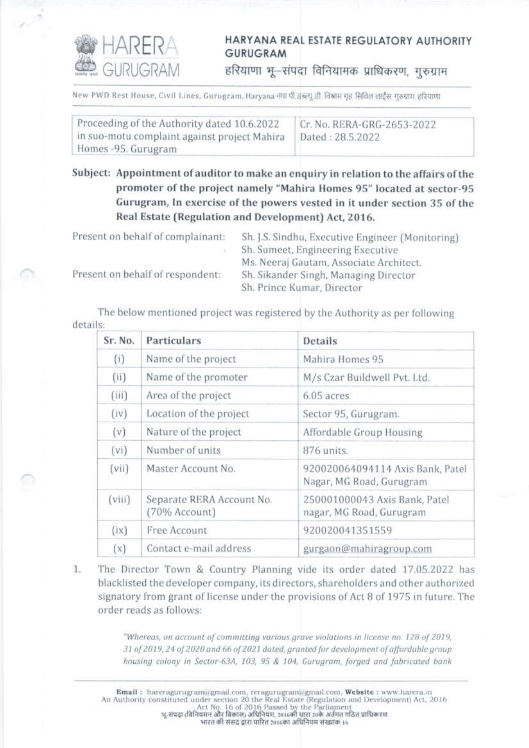

## HARYANA REAL ESTATE REGULATORY AUTHORITY **GURUGRAM**

हरियाणा भू-संपदा विनियामक प्राधिकरण, गुरुग्राम

New PWD Rest House, Civil Lines, Gurugram, Haryana नया पी इंब्ल्यू डी विश्राम गृह, सिविल लाईस गुरुग्राम हरियाणा

| Proceeding of the Authority dated 10.6.2022  | Cr. No. RERA-GRG-2653-2022 |
|----------------------------------------------|----------------------------|
| in suo-motu complaint against project Mahira | Dated: 28.5.2022           |
| Homes -95. Gurugram                          |                            |

Subject: Appointment of auditor to make an enquiry in relation to the affairs of the promoter of the project namely "Mahira Homes 95" located at sector-95 Gurugram, In exercise of the powers vested in it under section 35 of the Real Estate (Regulation and Development) Act, 2016.

| Present on behalf of complainant: | Sh. J.S. Sindhu, Executive Engineer (Monitoring) |
|-----------------------------------|--------------------------------------------------|
|                                   | Sh. Sumeet, Engineering Executive                |
|                                   | Ms. Neeraj Gautam, Associate Architect.          |
| Present on behalf of respondent:  | Sh. Sikander Singh, Managing Director            |
|                                   | Sh. Prince Kumar, Director                       |

The below mentioned project was registered by the Authority as per following details:

| Sr. No. | Particulars                                | <b>Details</b>                                               |
|---------|--------------------------------------------|--------------------------------------------------------------|
| (i)     | Name of the project                        | Mahira Homes 95                                              |
| (i)     | Name of the promoter                       | M/s Czar Buildwell Pvt. Ltd.                                 |
| (iii)   | Area of the project                        | 6.05 acres                                                   |
| (iv)    | Location of the project                    | Sector 95, Gurugram.                                         |
| (v)     | Nature of the project                      | Affordable Group Housing                                     |
| (vi)    | Number of units                            | 876 units.                                                   |
| (vii)   | Master Account No.                         | 920020064094114 Axis Bank, Patel<br>Nagar, MG Road, Gurugram |
| (viii)  | Separate RERA Account No.<br>(70% Account) | 250001000043 Axis Bank, Patel<br>nagar, MG Road, Gurugram    |
| (ix)    | Free Account                               | 920020041351559                                              |
| (x)     | Contact e-mail address                     | gurgaon@mahiragroup.com                                      |

 $1.$ The Director Town & Country Planning vide its order dated 17.05.2022 has blacklisted the developer company, its directors, shareholders and other authorized signatory from grant of license under the provisions of Act 8 of 1975 in future. The order reads as follows:

> "Whereas, on account of committing various grave violations in license no. 128 of 2019, 31 of 2019, 24 of 2020 and 66 of 2021 dated, granted for development of affordable group housing colony in Sector-63A, 103, 95 & 104, Gurugram, forged and fabricated bank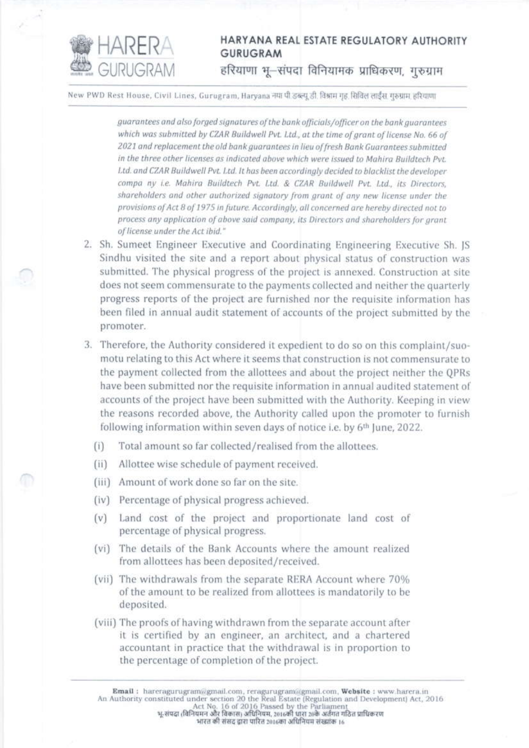

## HARYANA REAL ESTATE REGULATORY AUTHORITY **GURUGRAM** हरियाणा भू-संपदा विनियामक प्राधिकरण, गुरुग्राम

New PWD Rest House, Civil Lines, Gurugram, Harvana नया पी डब्ल्यू डी. विश्राम गृह, सिविल लाईंस गरुग्राम हरियाणा

guarantees and also forged signatures of the bank officials/officer on the bank quarantees which was submitted by CZAR Buildwell Pvt. Ltd., at the time of grant of license No. 66 of 2021 and replacement the old bank guarantees in lieu of fresh Bank Guarantees submitted in the three other licenses as indicated above which were issued to Mahira Buildtech Pvt. Ltd. and CZAR Buildwell Pvt. Ltd. It has been accordinaly decided to blacklist the developer compa ny i.e. Mahira Buildtech Pvt. Ltd. & CZAR Buildwell Pvt. Ltd., its Directors, shareholders and other authorized signatory from grant of any new license under the provisions of Act 8 of 1975 in future. Accordingly, all concerned are hereby directed not to process any application of above said company, its Directors and shareholders for arant of license under the Act ibid."

- 2. Sh. Sumeet Engineer Executive and Coordinating Engineering Executive Sh. IS Sindhu visited the site and a report about physical status of construction was submitted. The physical progress of the project is annexed. Construction at site does not seem commensurate to the payments collected and neither the quarterly progress reports of the project are furnished nor the requisite information has been filed in annual audit statement of accounts of the project submitted by the promoter.
- 3. Therefore, the Authority considered it expedient to do so on this complaint/suomotu relating to this Act where it seems that construction is not commensurate to the payment collected from the allottees and about the project neither the QPRs have been submitted nor the requisite information in annual audited statement of accounts of the project have been submitted with the Authority. Keeping in view the reasons recorded above, the Authority called upon the promoter to furnish following information within seven days of notice i.e. by 6<sup>th</sup> June, 2022.
	- Total amount so far collected/realised from the allottees.  $(i)$
	- Allottee wise schedule of payment received.  $(iii)$
	- (iii) Amount of work done so far on the site.
	- (iv) Percentage of physical progress achieved.
	- Land cost of the project and proportionate land cost of  $(v)$ percentage of physical progress.
	- (vi) The details of the Bank Accounts where the amount realized from allottees has been deposited/received.
	- (vii) The withdrawals from the separate RERA Account where 70% of the amount to be realized from allottees is mandatorily to be deposited.
	- (viii) The proofs of having withdrawn from the separate account after it is certified by an engineer, an architect, and a chartered accountant in practice that the withdrawal is in proportion to the percentage of completion of the project.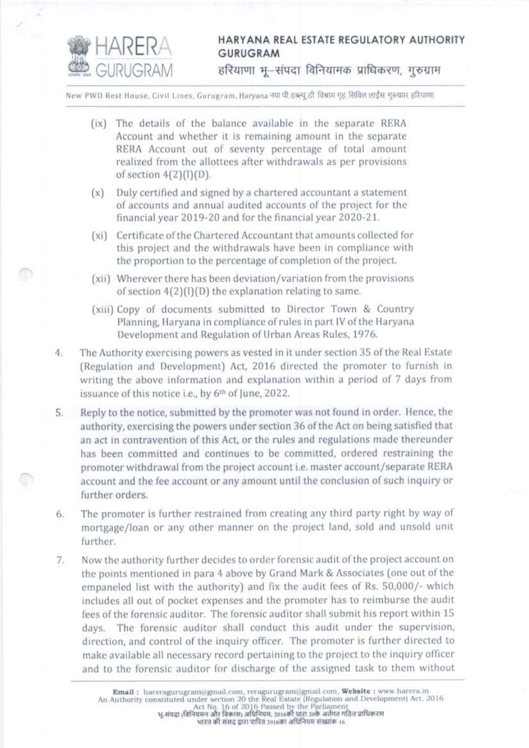

## HARYANA REAL ESTATE REGULATORY AUTHORITY **GURUGRAM**

हरियाणा भू-संपदा विनियामक प्राधिकरण, गुरुग्राम

New PWD Rest House, Civil Lines, Gurugram, Haryana नया पी.डब्ल्यू.डी. विश्राम गृह सिविल लाईंस गुरुग्राम हरियाणा

- (ix) The details of the balance available in the separate RERA Account and whether it is remaining amount in the separate RERA Account out of seventy percentage of total amount realized from the allottees after withdrawals as per provisions of section  $4(2)(1)(D)$ .
- (x) Duly certified and signed by a chartered accountant a statement of accounts and annual audited accounts of the project for the financial year 2019-20 and for the financial year 2020-21.
- (xi) Certificate of the Chartered Accountant that amounts collected for this project and the withdrawals have been in compliance with the proportion to the percentage of completion of the project.
- (xii) Wherever there has been deviation/variation from the provisions of section  $4(2)(1)(D)$  the explanation relating to same.
- (xiii) Copy of documents submitted to Director Town & Country Planning, Haryana in compliance of rules in part IV of the Haryana Development and Regulation of Urban Areas Rules, 1976.
- The Authority exercising powers as vested in it under section 35 of the Real Estate 4. (Regulation and Development) Act, 2016 directed the promoter to furnish in writing the above information and explanation within a period of 7 days from issuance of this notice i.e., by 6th of June, 2022.
- 5. Reply to the notice, submitted by the promoter was not found in order. Hence, the authority, exercising the powers under section 36 of the Act on being satisfied that an act in contravention of this Act, or the rules and regulations made thereunder has been committed and continues to be committed, ordered restraining the promoter withdrawal from the project account i.e. master account/separate RERA account and the fee account or any amount until the conclusion of such inquiry or further orders.
- 6. The promoter is further restrained from creating any third party right by way of mortgage/loan or any other manner on the project land, sold and unsold unit further.
- Now the authority further decides to order forensic audit of the project account on  $7.$ the points mentioned in para 4 above by Grand Mark & Associates (one out of the empaneled list with the authority) and fix the audit fees of Rs. 50,000/- which includes all out of pocket expenses and the promoter has to reimburse the audit fees of the forensic auditor. The forensic auditor shall submit his report within 15 days. The forensic auditor shall conduct this audit under the supervision, direction, and control of the inquiry officer. The promoter is further directed to make available all necessary record pertaining to the project to the inquiry officer and to the forensic auditor for discharge of the assigned task to them without